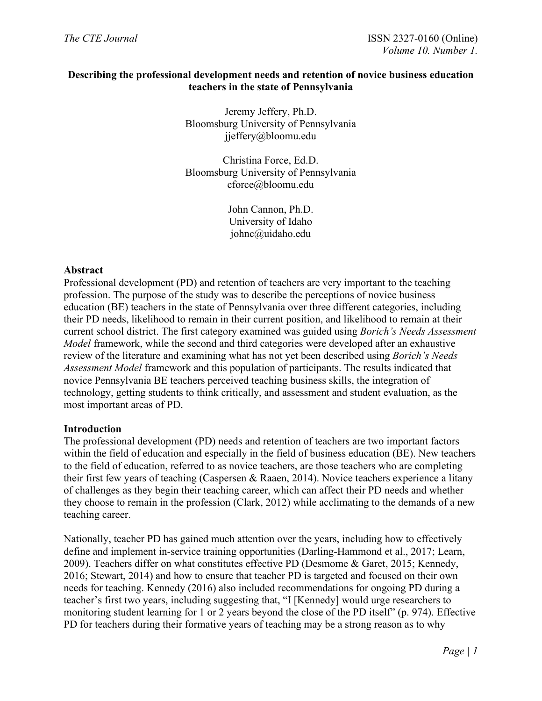## **Describing the professional development needs and retention of novice business education teachers in the state of Pennsylvania**

Jeremy Jeffery, Ph.D. Bloomsburg University of Pennsylvania jjeffery@bloomu.edu

Christina Force, Ed.D. Bloomsburg University of Pennsylvania cforce@bloomu.edu

> John Cannon, Ph.D. University of Idaho johnc@uidaho.edu

## **Abstract**

Professional development (PD) and retention of teachers are very important to the teaching profession. The purpose of the study was to describe the perceptions of novice business education (BE) teachers in the state of Pennsylvania over three different categories, including their PD needs, likelihood to remain in their current position, and likelihood to remain at their current school district. The first category examined was guided using *Borich's Needs Assessment Model* framework, while the second and third categories were developed after an exhaustive review of the literature and examining what has not yet been described using *Borich's Needs Assessment Model* framework and this population of participants. The results indicated that novice Pennsylvania BE teachers perceived teaching business skills, the integration of technology, getting students to think critically, and assessment and student evaluation, as the most important areas of PD.

## **Introduction**

The professional development (PD) needs and retention of teachers are two important factors within the field of education and especially in the field of business education (BE). New teachers to the field of education, referred to as novice teachers, are those teachers who are completing their first few years of teaching (Caspersen & Raaen, 2014). Novice teachers experience a litany of challenges as they begin their teaching career, which can affect their PD needs and whether they choose to remain in the profession (Clark, 2012) while acclimating to the demands of a new teaching career.

Nationally, teacher PD has gained much attention over the years, including how to effectively define and implement in-service training opportunities (Darling-Hammond et al., 2017; Learn, 2009). Teachers differ on what constitutes effective PD (Desmome & Garet, 2015; Kennedy, 2016; Stewart, 2014) and how to ensure that teacher PD is targeted and focused on their own needs for teaching. Kennedy (2016) also included recommendations for ongoing PD during a teacher's first two years, including suggesting that, "I [Kennedy] would urge researchers to monitoring student learning for 1 or 2 years beyond the close of the PD itself" (p. 974). Effective PD for teachers during their formative years of teaching may be a strong reason as to why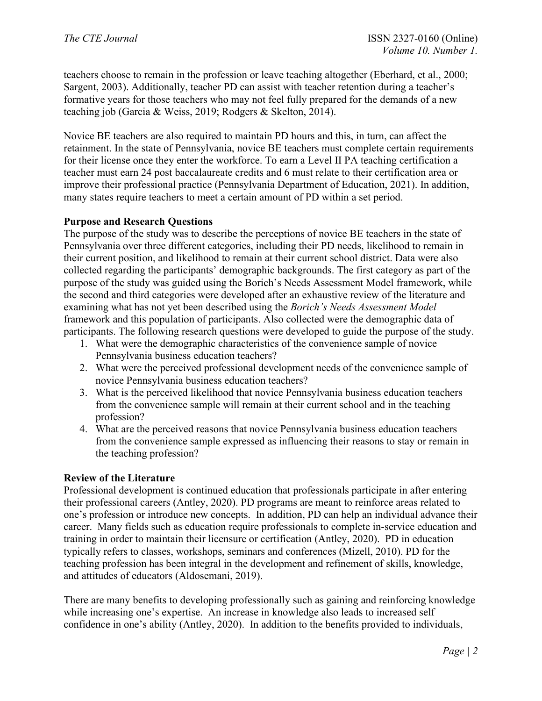teachers choose to remain in the profession or leave teaching altogether (Eberhard, et al., 2000; Sargent, 2003). Additionally, teacher PD can assist with teacher retention during a teacher's formative years for those teachers who may not feel fully prepared for the demands of a new teaching job (Garcia & Weiss, 2019; Rodgers & Skelton, 2014).

Novice BE teachers are also required to maintain PD hours and this, in turn, can affect the retainment. In the state of Pennsylvania, novice BE teachers must complete certain requirements for their license once they enter the workforce. To earn a Level II PA teaching certification a teacher must earn 24 post baccalaureate credits and 6 must relate to their certification area or improve their professional practice (Pennsylvania Department of Education, 2021). In addition, many states require teachers to meet a certain amount of PD within a set period.

## **Purpose and Research Questions**

The purpose of the study was to describe the perceptions of novice BE teachers in the state of Pennsylvania over three different categories, including their PD needs, likelihood to remain in their current position, and likelihood to remain at their current school district. Data were also collected regarding the participants' demographic backgrounds. The first category as part of the purpose of the study was guided using the Borich's Needs Assessment Model framework, while the second and third categories were developed after an exhaustive review of the literature and examining what has not yet been described using the *Borich's Needs Assessment Model* framework and this population of participants. Also collected were the demographic data of participants. The following research questions were developed to guide the purpose of the study.

- 1. What were the demographic characteristics of the convenience sample of novice Pennsylvania business education teachers?
- 2. What were the perceived professional development needs of the convenience sample of novice Pennsylvania business education teachers?
- 3. What is the perceived likelihood that novice Pennsylvania business education teachers from the convenience sample will remain at their current school and in the teaching profession?
- 4. What are the perceived reasons that novice Pennsylvania business education teachers from the convenience sample expressed as influencing their reasons to stay or remain in the teaching profession?

# **Review of the Literature**

Professional development is continued education that professionals participate in after entering their professional careers (Antley, 2020). PD programs are meant to reinforce areas related to one's profession or introduce new concepts. In addition, PD can help an individual advance their career. Many fields such as education require professionals to complete in-service education and training in order to maintain their licensure or certification (Antley, 2020). PD in education typically refers to classes, workshops, seminars and conferences (Mizell, 2010). PD for the teaching profession has been integral in the development and refinement of skills, knowledge, and attitudes of educators (Aldosemani, 2019).

There are many benefits to developing professionally such as gaining and reinforcing knowledge while increasing one's expertise. An increase in knowledge also leads to increased self confidence in one's ability (Antley, 2020). In addition to the benefits provided to individuals,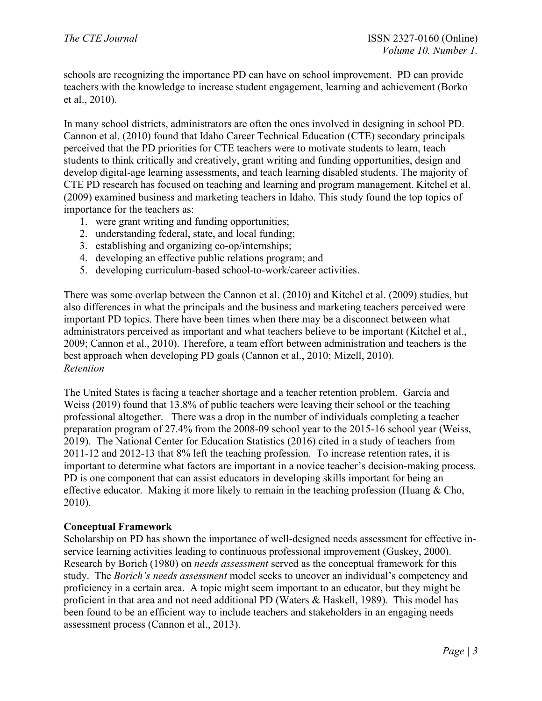schools are recognizing the importance PD can have on school improvement. PD can provide teachers with the knowledge to increase student engagement, learning and achievement (Borko et al., 2010).

In many school districts, administrators are often the ones involved in designing in school PD. Cannon et al. (2010) found that Idaho Career Technical Education (CTE) secondary principals perceived that the PD priorities for CTE teachers were to motivate students to learn, teach students to think critically and creatively, grant writing and funding opportunities, design and develop digital-age learning assessments, and teach learning disabled students. The majority of CTE PD research has focused on teaching and learning and program management. Kitchel et al. (2009) examined business and marketing teachers in Idaho. This study found the top topics of importance for the teachers as:

- 1. were grant writing and funding opportunities;
- 2. understanding federal, state, and local funding;
- 3. establishing and organizing co-op/internships;
- 4. developing an effective public relations program; and
- 5. developing curriculum-based school-to-work/career activities.

There was some overlap between the Cannon et al. (2010) and Kitchel et al. (2009) studies, but also differences in what the principals and the business and marketing teachers perceived were important PD topics. There have been times when there may be a disconnect between what administrators perceived as important and what teachers believe to be important (Kitchel et al., 2009; Cannon et al., 2010). Therefore, a team effort between administration and teachers is the best approach when developing PD goals (Cannon et al., 2010; Mizell, 2010). *Retention*

The United States is facing a teacher shortage and a teacher retention problem. García and Weiss (2019) found that 13.8% of public teachers were leaving their school or the teaching professional altogether. There was a drop in the number of individuals completing a teacher preparation program of 27.4% from the 2008-09 school year to the 2015-16 school year (Weiss, 2019). The National Center for Education Statistics (2016) cited in a study of teachers from 2011-12 and 2012-13 that 8% left the teaching profession. To increase retention rates, it is important to determine what factors are important in a novice teacher's decision-making process. PD is one component that can assist educators in developing skills important for being an effective educator. Making it more likely to remain in the teaching profession (Huang & Cho, 2010).

## **Conceptual Framework**

Scholarship on PD has shown the importance of well-designed needs assessment for effective inservice learning activities leading to continuous professional improvement (Guskey, 2000). Research by Borich (1980) on *needs assessment* served as the conceptual framework for this study. The *Borich's needs assessment* model seeks to uncover an individual's competency and proficiency in a certain area.A topic might seem important to an educator, but they might be proficient in that area and not need additional PD (Waters & Haskell, 1989). This model has been found to be an efficient way to include teachers and stakeholders in an engaging needs assessment process (Cannon et al., 2013).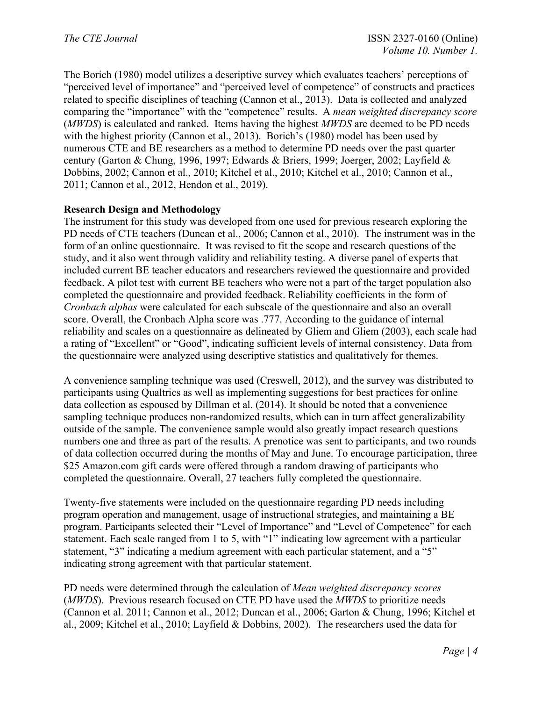The Borich (1980) model utilizes a descriptive survey which evaluates teachers' perceptions of "perceived level of importance" and "perceived level of competence" of constructs and practices related to specific disciplines of teaching (Cannon et al., 2013). Data is collected and analyzed comparing the "importance" with the "competence" results. A *mean weighted discrepancy score* (*MWDS*) is calculated and ranked. Items having the highest *MWDS* are deemed to be PD needs with the highest priority (Cannon et al., 2013). Borich's (1980) model has been used by numerous CTE and BE researchers as a method to determine PD needs over the past quarter century (Garton & Chung, 1996, 1997; Edwards & Briers, 1999; Joerger, 2002; Layfield & Dobbins, 2002; Cannon et al., 2010; Kitchel et al., 2010; Kitchel et al., 2010; Cannon et al., 2011; Cannon et al., 2012, Hendon et al., 2019).

## **Research Design and Methodology**

The instrument for this study was developed from one used for previous research exploring the PD needs of CTE teachers (Duncan et al., 2006; Cannon et al., 2010). The instrument was in the form of an online questionnaire. It was revised to fit the scope and research questions of the study, and it also went through validity and reliability testing. A diverse panel of experts that included current BE teacher educators and researchers reviewed the questionnaire and provided feedback. A pilot test with current BE teachers who were not a part of the target population also completed the questionnaire and provided feedback. Reliability coefficients in the form of *Cronbach alphas* were calculated for each subscale of the questionnaire and also an overall score. Overall, the Cronbach Alpha score was .777. According to the guidance of internal reliability and scales on a questionnaire as delineated by Gliem and Gliem (2003), each scale had a rating of "Excellent" or "Good", indicating sufficient levels of internal consistency. Data from the questionnaire were analyzed using descriptive statistics and qualitatively for themes.

A convenience sampling technique was used (Creswell, 2012), and the survey was distributed to participants using Qualtrics as well as implementing suggestions for best practices for online data collection as espoused by Dillman et al. (2014). It should be noted that a convenience sampling technique produces non-randomized results, which can in turn affect generalizability outside of the sample. The convenience sample would also greatly impact research questions numbers one and three as part of the results. A prenotice was sent to participants, and two rounds of data collection occurred during the months of May and June. To encourage participation, three \$25 Amazon.com gift cards were offered through a random drawing of participants who completed the questionnaire. Overall, 27 teachers fully completed the questionnaire.

Twenty-five statements were included on the questionnaire regarding PD needs including program operation and management, usage of instructional strategies, and maintaining a BE program. Participants selected their "Level of Importance" and "Level of Competence" for each statement. Each scale ranged from 1 to 5, with "1" indicating low agreement with a particular statement, "3" indicating a medium agreement with each particular statement, and a "5" indicating strong agreement with that particular statement.

PD needs were determined through the calculation of *Mean weighted discrepancy scores* (*MWDS*). Previous research focused on CTE PD have used the *MWDS* to prioritize needs (Cannon et al. 2011; Cannon et al., 2012; Duncan et al., 2006; Garton & Chung, 1996; Kitchel et al., 2009; Kitchel et al., 2010; Layfield & Dobbins, 2002). The researchers used the data for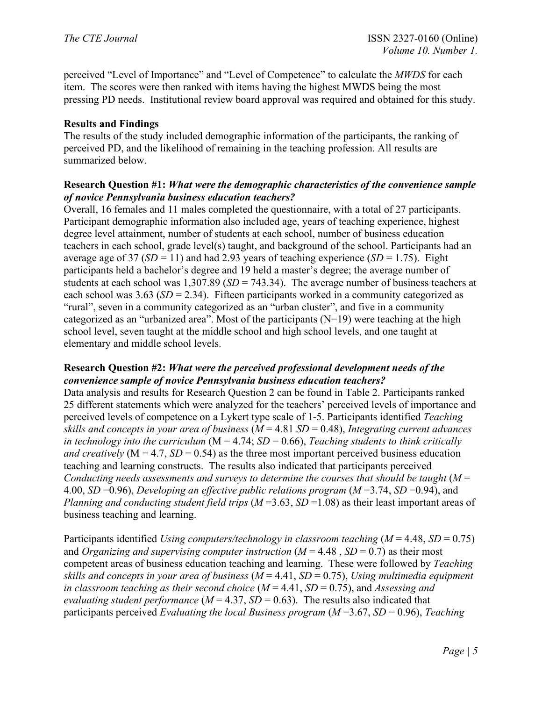perceived "Level of Importance" and "Level of Competence" to calculate the *MWDS* for each item. The scores were then ranked with items having the highest MWDS being the most pressing PD needs. Institutional review board approval was required and obtained for this study.

# **Results and Findings**

The results of the study included demographic information of the participants, the ranking of perceived PD, and the likelihood of remaining in the teaching profession. All results are summarized below.

## **Research Question #1:** *What were the demographic characteristics of the convenience sample of novice Pennsylvania business education teachers?*

Overall, 16 females and 11 males completed the questionnaire, with a total of 27 participants. Participant demographic information also included age, years of teaching experience, highest degree level attainment, number of students at each school, number of business education teachers in each school, grade level(s) taught, and background of the school. Participants had an average age of 37 ( $SD = 11$ ) and had 2.93 years of teaching experience ( $SD = 1.75$ ). Eight participants held a bachelor's degree and 19 held a master's degree; the average number of students at each school was 1,307.89 (*SD* = 743.34). The average number of business teachers at each school was 3.63 (*SD* = 2.34). Fifteen participants worked in a community categorized as "rural", seven in a community categorized as an "urban cluster", and five in a community categorized as an "urbanized area". Most of the participants (N=19) were teaching at the high school level, seven taught at the middle school and high school levels, and one taught at elementary and middle school levels.

## **Research Question #2:** *What were the perceived professional development needs of the convenience sample of novice Pennsylvania business education teachers?*

Data analysis and results for Research Question 2 can be found in Table 2. Participants ranked 25 different statements which were analyzed for the teachers' perceived levels of importance and perceived levels of competence on a Lykert type scale of 1-5. Participants identified *Teaching skills and concepts in your area of business* (*M* = 4.81 *SD* = 0.48), *Integrating current advances in technology into the curriculum* (M = 4.74; *SD* = 0.66), *Teaching students to think critically and creatively* ( $M = 4.7$ ,  $SD = 0.54$ ) as the three most important perceived business education teaching and learning constructs. The results also indicated that participants perceived *Conducting needs assessments and surveys to determine the courses that should be taught* (*M* = 4.00, *SD* =0.96), *Developing an effective public relations program* (*M* =3.74, *SD* =0.94), and *Planning and conducting student field trips* (*M* =3.63, *SD* =1.08) as their least important areas of business teaching and learning.

Participants identified *Using computers/technology in classroom teaching* (*M* = 4.48, *SD* = 0.75) and *Organizing and supervising computer instruction*  $(M = 4.48, SD = 0.7)$  *as their most* competent areas of business education teaching and learning. These were followed by *Teaching skills and concepts in your area of business* (*M* = 4.41, *SD* = 0.75), *Using multimedia equipment in classroom teaching as their second choice* (*M* = 4.41, *SD* = 0.75), and *Assessing and evaluating student performance*  $(M = 4.37, SD = 0.63)$ . The results also indicated that participants perceived *Evaluating the local Business program* (*M* =3.67, *SD* = 0.96), *Teaching*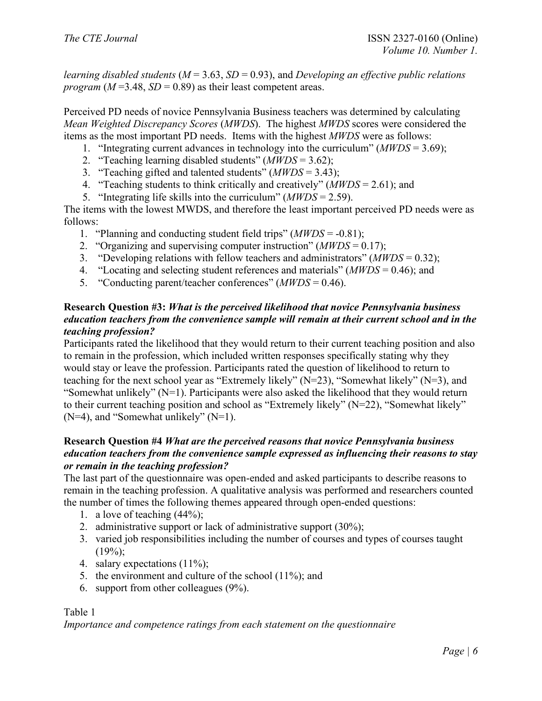*learning disabled students* (*M* = 3.63, *SD* = 0.93), and *Developing an effective public relations program* ( $M = 3.48$ ,  $SD = 0.89$ ) as their least competent areas.

Perceived PD needs of novice Pennsylvania Business teachers was determined by calculating *Mean Weighted Discrepancy Scores* (*MWDS*). The highest *MWDS* scores were considered the items as the most important PD needs. Items with the highest *MWDS* were as follows:

- 1. "Integrating current advances in technology into the curriculum" (*MWDS* = 3.69);
- 2. "Teaching learning disabled students" (*MWDS* = 3.62);
- 3. "Teaching gifted and talented students" (*MWDS* = 3.43);
- 4. "Teaching students to think critically and creatively" (*MWDS* = 2.61); and
- 5. "Integrating life skills into the curriculum" (*MWDS* = 2.59).

The items with the lowest MWDS, and therefore the least important perceived PD needs were as follows:

- 1. "Planning and conducting student field trips" (*MWDS* = -0.81);
- 2. "Organizing and supervising computer instruction" (*MWDS* = 0.17);
- 3. "Developing relations with fellow teachers and administrators" (*MWDS* = 0.32);
- 4. "Locating and selecting student references and materials" (*MWDS* = 0.46); and
- 5. "Conducting parent/teacher conferences" (*MWDS* = 0.46).

## **Research Question #3:** *What is the perceived likelihood that novice Pennsylvania business education teachers from the convenience sample will remain at their current school and in the teaching profession?*

Participants rated the likelihood that they would return to their current teaching position and also to remain in the profession, which included written responses specifically stating why they would stay or leave the profession. Participants rated the question of likelihood to return to teaching for the next school year as "Extremely likely" (N=23), "Somewhat likely" (N=3), and "Somewhat unlikely" (N=1). Participants were also asked the likelihood that they would return to their current teaching position and school as "Extremely likely" (N=22), "Somewhat likely"  $(N=4)$ , and "Somewhat unlikely"  $(N=1)$ .

# **Research Question #4** *What are the perceived reasons that novice Pennsylvania business education teachers from the convenience sample expressed as influencing their reasons to stay or remain in the teaching profession?*

The last part of the questionnaire was open-ended and asked participants to describe reasons to remain in the teaching profession. A qualitative analysis was performed and researchers counted the number of times the following themes appeared through open-ended questions:

- 1. a love of teaching (44%);
- 2. administrative support or lack of administrative support (30%);
- 3. varied job responsibilities including the number of courses and types of courses taught  $(19\%)$ ;
- 4. salary expectations (11%);
- 5. the environment and culture of the school (11%); and
- 6. support from other colleagues (9%).

## Table 1

*Importance and competence ratings from each statement on the questionnaire*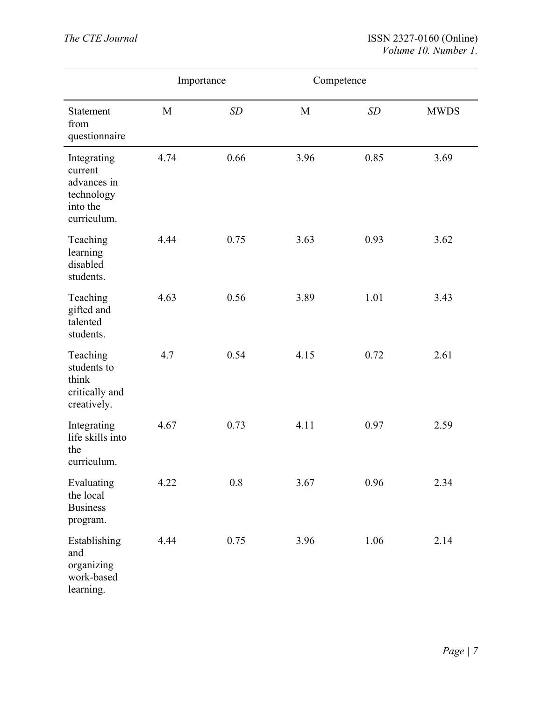|                                                                                | Importance |      | Competence |      |             |
|--------------------------------------------------------------------------------|------------|------|------------|------|-------------|
| Statement<br>from<br>questionnaire                                             | M          | SD   | M          | SD   | <b>MWDS</b> |
| Integrating<br>current<br>advances in<br>technology<br>into the<br>curriculum. | 4.74       | 0.66 | 3.96       | 0.85 | 3.69        |
| Teaching<br>learning<br>disabled<br>students.                                  | 4.44       | 0.75 | 3.63       | 0.93 | 3.62        |
| Teaching<br>gifted and<br>talented<br>students.                                | 4.63       | 0.56 | 3.89       | 1.01 | 3.43        |
| Teaching<br>students to<br>think<br>critically and<br>creatively.              | 4.7        | 0.54 | 4.15       | 0.72 | 2.61        |
| Integrating<br>life skills into<br>the<br>curriculum.                          | 4.67       | 0.73 | 4.11       | 0.97 | 2.59        |
| Evaluating<br>the local<br><b>Business</b><br>program.                         | 4.22       | 0.8  | 3.67       | 0.96 | 2.34        |
| Establishing<br>and<br>organizing<br>work-based<br>learning.                   | 4.44       | 0.75 | 3.96       | 1.06 | 2.14        |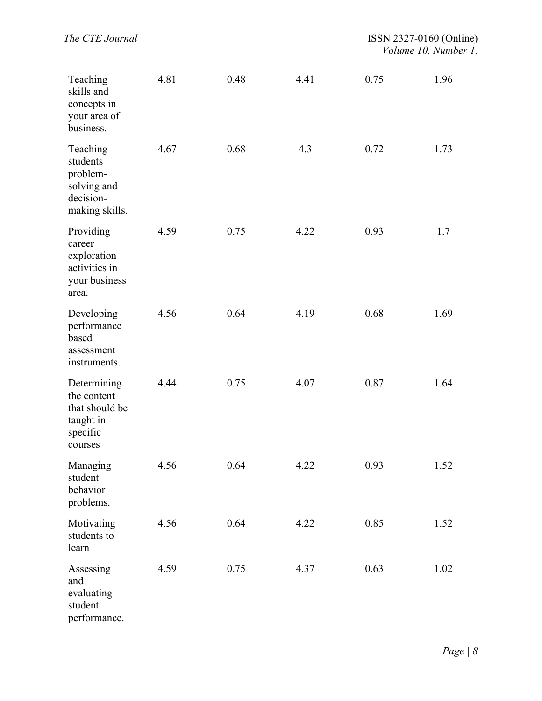| Teaching<br>skills and<br>concepts in<br>your area of<br>business.               | 4.81 | 0.48 | 4.41 | 0.75 | 1.96 |
|----------------------------------------------------------------------------------|------|------|------|------|------|
| Teaching<br>students<br>problem-<br>solving and<br>decision-<br>making skills.   | 4.67 | 0.68 | 4.3  | 0.72 | 1.73 |
| Providing<br>career<br>exploration<br>activities in<br>your business<br>area.    | 4.59 | 0.75 | 4.22 | 0.93 | 1.7  |
| Developing<br>performance<br>based<br>assessment<br>instruments.                 | 4.56 | 0.64 | 4.19 | 0.68 | 1.69 |
| Determining<br>the content<br>that should be<br>taught in<br>specific<br>courses | 4.44 | 0.75 | 4.07 | 0.87 | 1.64 |
| Managing<br>student<br>behavior<br>problems.                                     | 4.56 | 0.64 | 4.22 | 0.93 | 1.52 |
| Motivating<br>students to<br>learn                                               | 4.56 | 0.64 | 4.22 | 0.85 | 1.52 |
| Assessing<br>and<br>evaluating<br>student<br>performance.                        | 4.59 | 0.75 | 4.37 | 0.63 | 1.02 |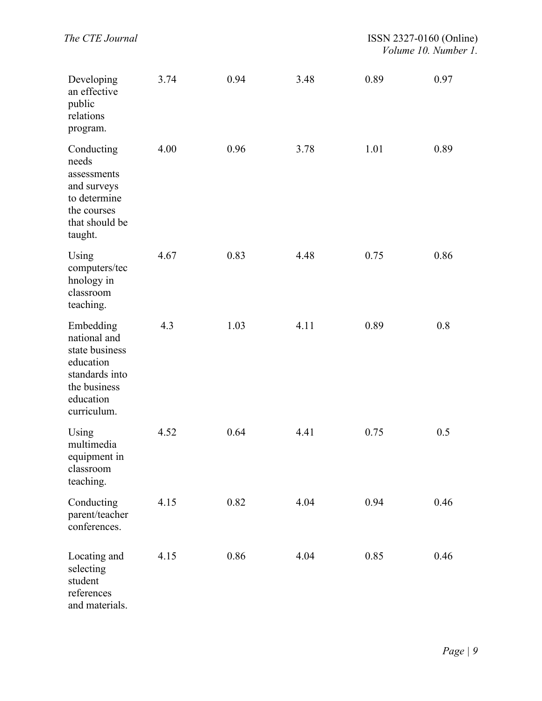| Developing<br>an effective<br>public<br>relations<br>program.                                                          | 3.74 | 0.94 | 3.48 | 0.89 | 0.97 |
|------------------------------------------------------------------------------------------------------------------------|------|------|------|------|------|
| Conducting<br>needs<br>assessments<br>and surveys<br>to determine<br>the courses<br>that should be<br>taught.          | 4.00 | 0.96 | 3.78 | 1.01 | 0.89 |
| Using<br>computers/tec<br>hnology in<br>classroom<br>teaching.                                                         | 4.67 | 0.83 | 4.48 | 0.75 | 0.86 |
| Embedding<br>national and<br>state business<br>education<br>standards into<br>the business<br>education<br>curriculum. | 4.3  | 1.03 | 4.11 | 0.89 | 0.8  |
| Using<br>multimedia<br>equipment in<br>classroom<br>teaching.                                                          | 4.52 | 0.64 | 4.41 | 0.75 | 0.5  |
| Conducting<br>parent/teacher<br>conferences.                                                                           | 4.15 | 0.82 | 4.04 | 0.94 | 0.46 |
| Locating and<br>selecting<br>student<br>references<br>and materials.                                                   | 4.15 | 0.86 | 4.04 | 0.85 | 0.46 |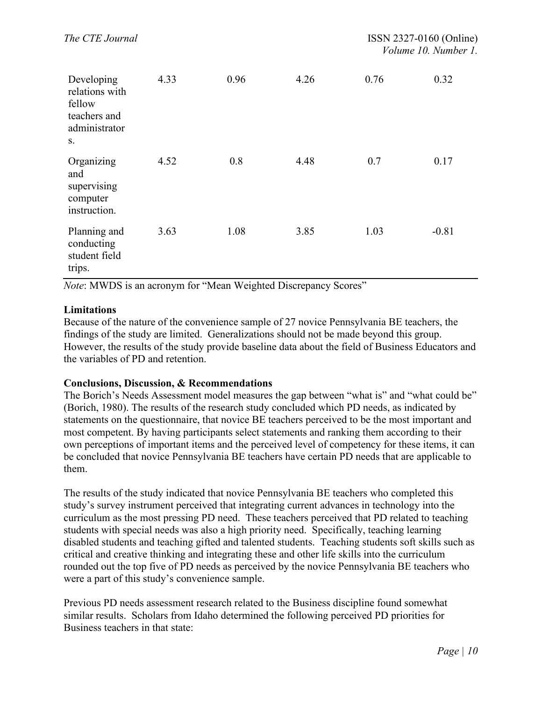| Developing<br>relations with<br>fellow<br>teachers and<br>administrator<br>S. | 4.33 | 0.96 | 4.26 | 0.76 | 0.32    |
|-------------------------------------------------------------------------------|------|------|------|------|---------|
| Organizing<br>and<br>supervising<br>computer<br>instruction.                  | 4.52 | 0.8  | 4.48 | 0.7  | 0.17    |
| Planning and<br>conducting<br>student field<br>trips.                         | 3.63 | 1.08 | 3.85 | 1.03 | $-0.81$ |

*Note*: MWDS is an acronym for "Mean Weighted Discrepancy Scores"

#### **Limitations**

Because of the nature of the convenience sample of 27 novice Pennsylvania BE teachers, the findings of the study are limited. Generalizations should not be made beyond this group. However, the results of the study provide baseline data about the field of Business Educators and the variables of PD and retention.

#### **Conclusions, Discussion, & Recommendations**

The Borich's Needs Assessment model measures the gap between "what is" and "what could be" (Borich, 1980). The results of the research study concluded which PD needs, as indicated by statements on the questionnaire, that novice BE teachers perceived to be the most important and most competent. By having participants select statements and ranking them according to their own perceptions of important items and the perceived level of competency for these items, it can be concluded that novice Pennsylvania BE teachers have certain PD needs that are applicable to them.

The results of the study indicated that novice Pennsylvania BE teachers who completed this study's survey instrument perceived that integrating current advances in technology into the curriculum as the most pressing PD need. These teachers perceived that PD related to teaching students with special needs was also a high priority need. Specifically, teaching learning disabled students and teaching gifted and talented students. Teaching students soft skills such as critical and creative thinking and integrating these and other life skills into the curriculum rounded out the top five of PD needs as perceived by the novice Pennsylvania BE teachers who were a part of this study's convenience sample.

Previous PD needs assessment research related to the Business discipline found somewhat similar results. Scholars from Idaho determined the following perceived PD priorities for Business teachers in that state: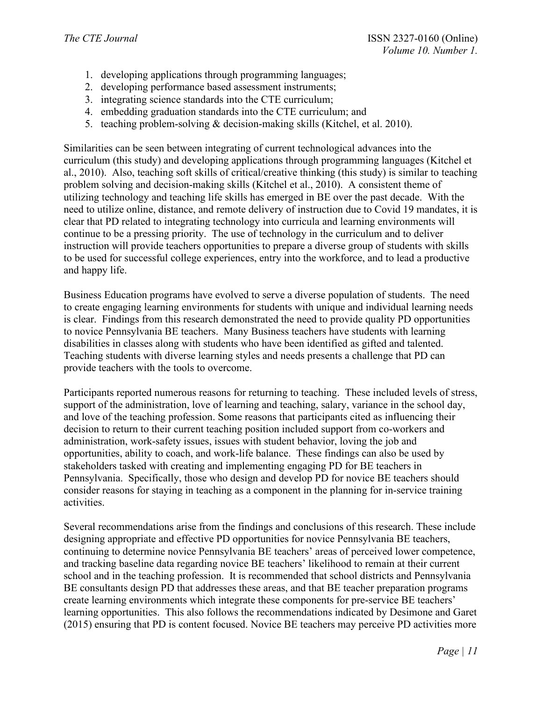- 1. developing applications through programming languages;
- 2. developing performance based assessment instruments;
- 3. integrating science standards into the CTE curriculum;
- 4. embedding graduation standards into the CTE curriculum; and
- 5. teaching problem-solving & decision-making skills (Kitchel, et al. 2010).

Similarities can be seen between integrating of current technological advances into the curriculum (this study) and developing applications through programming languages (Kitchel et al., 2010). Also, teaching soft skills of critical/creative thinking (this study) is similar to teaching problem solving and decision-making skills (Kitchel et al., 2010). A consistent theme of utilizing technology and teaching life skills has emerged in BE over the past decade. With the need to utilize online, distance, and remote delivery of instruction due to Covid 19 mandates, it is clear that PD related to integrating technology into curricula and learning environments will continue to be a pressing priority. The use of technology in the curriculum and to deliver instruction will provide teachers opportunities to prepare a diverse group of students with skills to be used for successful college experiences, entry into the workforce, and to lead a productive and happy life.

Business Education programs have evolved to serve a diverse population of students. The need to create engaging learning environments for students with unique and individual learning needs is clear. Findings from this research demonstrated the need to provide quality PD opportunities to novice Pennsylvania BE teachers. Many Business teachers have students with learning disabilities in classes along with students who have been identified as gifted and talented. Teaching students with diverse learning styles and needs presents a challenge that PD can provide teachers with the tools to overcome.

Participants reported numerous reasons for returning to teaching. These included levels of stress, support of the administration, love of learning and teaching, salary, variance in the school day, and love of the teaching profession. Some reasons that participants cited as influencing their decision to return to their current teaching position included support from co-workers and administration, work-safety issues, issues with student behavior, loving the job and opportunities, ability to coach, and work-life balance. These findings can also be used by stakeholders tasked with creating and implementing engaging PD for BE teachers in Pennsylvania. Specifically, those who design and develop PD for novice BE teachers should consider reasons for staying in teaching as a component in the planning for in-service training activities.

Several recommendations arise from the findings and conclusions of this research. These include designing appropriate and effective PD opportunities for novice Pennsylvania BE teachers, continuing to determine novice Pennsylvania BE teachers' areas of perceived lower competence, and tracking baseline data regarding novice BE teachers' likelihood to remain at their current school and in the teaching profession. It is recommended that school districts and Pennsylvania BE consultants design PD that addresses these areas, and that BE teacher preparation programs create learning environments which integrate these components for pre-service BE teachers' learning opportunities. This also follows the recommendations indicated by Desimone and Garet (2015) ensuring that PD is content focused. Novice BE teachers may perceive PD activities more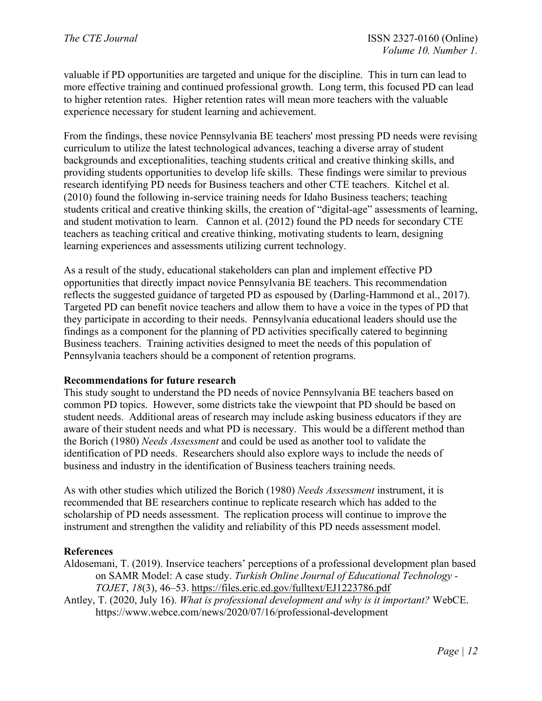valuable if PD opportunities are targeted and unique for the discipline. This in turn can lead to more effective training and continued professional growth. Long term, this focused PD can lead to higher retention rates. Higher retention rates will mean more teachers with the valuable experience necessary for student learning and achievement.

From the findings, these novice Pennsylvania BE teachers' most pressing PD needs were revising curriculum to utilize the latest technological advances, teaching a diverse array of student backgrounds and exceptionalities, teaching students critical and creative thinking skills, and providing students opportunities to develop life skills. These findings were similar to previous research identifying PD needs for Business teachers and other CTE teachers. Kitchel et al. (2010) found the following in-service training needs for Idaho Business teachers; teaching students critical and creative thinking skills, the creation of "digital-age" assessments of learning, and student motivation to learn. Cannon et al. (2012) found the PD needs for secondary CTE teachers as teaching critical and creative thinking, motivating students to learn, designing learning experiences and assessments utilizing current technology.

As a result of the study, educational stakeholders can plan and implement effective PD opportunities that directly impact novice Pennsylvania BE teachers. This recommendation reflects the suggested guidance of targeted PD as espoused by (Darling-Hammond et al., 2017). Targeted PD can benefit novice teachers and allow them to have a voice in the types of PD that they participate in according to their needs. Pennsylvania educational leaders should use the findings as a component for the planning of PD activities specifically catered to beginning Business teachers. Training activities designed to meet the needs of this population of Pennsylvania teachers should be a component of retention programs.

## **Recommendations for future research**

This study sought to understand the PD needs of novice Pennsylvania BE teachers based on common PD topics. However, some districts take the viewpoint that PD should be based on student needs. Additional areas of research may include asking business educators if they are aware of their student needs and what PD is necessary. This would be a different method than the Borich (1980) *Needs Assessment* and could be used as another tool to validate the identification of PD needs. Researchers should also explore ways to include the needs of business and industry in the identification of Business teachers training needs.

As with other studies which utilized the Borich (1980) *Needs Assessment* instrument, it is recommended that BE researchers continue to replicate research which has added to the scholarship of PD needs assessment. The replication process will continue to improve the instrument and strengthen the validity and reliability of this PD needs assessment model.

#### **References**

- Aldosemani, T. (2019). Inservice teachers' perceptions of a professional development plan based on SAMR Model: A case study. *Turkish Online Journal of Educational Technology - TOJET*, *18*(3), 46–53.<https://files.eric.ed.gov/fulltext/EJ1223786.pdf>
- Antley, T. (2020, July 16). *What is professional development and why is it important?* WebCE. <https://www.webce.com/news/2020/07/16/professional-development>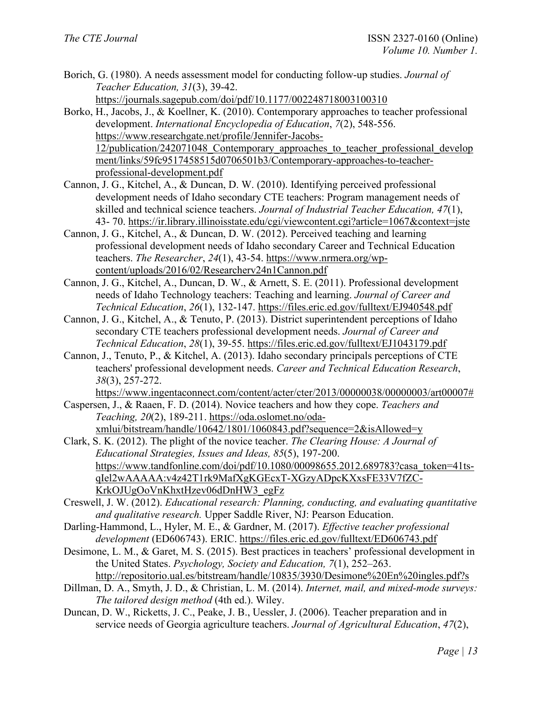- Borich, G. (1980). A needs assessment model for conducting follow-up studies. *Journal of Teacher Education, 31*(3), 39-42. <https://journals.sagepub.com/doi/pdf/10.1177/002248718003100310>
- Borko, H., Jacobs, J., & Koellner, K. (2010). Contemporary approaches to teacher professional development. *International Encyclopedia of Education*, *7*(2), 548-556. [https://www.researchgate.net/profile/Jennifer-Jacobs-](https://www.researchgate.net/profile/Jennifer-Jacobs-12/publication/242071048_Contemporary_approaches_to_teacher_professional_development/links/59fc9517458515d0706501b3/Contemporary-approaches-to-teacher-professional-development.pdf)[12/publication/242071048\\_Contemporary\\_approaches\\_to\\_teacher\\_professional\\_develop](https://www.researchgate.net/profile/Jennifer-Jacobs-12/publication/242071048_Contemporary_approaches_to_teacher_professional_development/links/59fc9517458515d0706501b3/Contemporary-approaches-to-teacher-professional-development.pdf) [ment/links/59fc9517458515d0706501b3/Contemporary-approaches-to-teacher](https://www.researchgate.net/profile/Jennifer-Jacobs-12/publication/242071048_Contemporary_approaches_to_teacher_professional_development/links/59fc9517458515d0706501b3/Contemporary-approaches-to-teacher-professional-development.pdf)[professional-development.pdf](https://www.researchgate.net/profile/Jennifer-Jacobs-12/publication/242071048_Contemporary_approaches_to_teacher_professional_development/links/59fc9517458515d0706501b3/Contemporary-approaches-to-teacher-professional-development.pdf)
- Cannon, J. G., Kitchel, A., & Duncan, D. W. (2010). Identifying perceived professional development needs of Idaho secondary CTE teachers: Program management needs of skilled and technical science teachers. *Journal of Industrial Teacher Education, 47*(1), 43- 70.<https://ir.library.illinoisstate.edu/cgi/viewcontent.cgi?article=1067&context=jste>
- Cannon, J. G., Kitchel, A., & Duncan, D. W. (2012). Perceived teaching and learning professional development needs of Idaho secondary Career and Technical Education teachers. *The Researcher*, *24*(1), 43-54. [https://www.nrmera.org/wp](https://www.nrmera.org/wp-content/uploads/2016/02/Researcherv24n1Cannon.pdf)[content/uploads/2016/02/Researcherv24n1Cannon.pdf](https://www.nrmera.org/wp-content/uploads/2016/02/Researcherv24n1Cannon.pdf)
- Cannon, J. G., Kitchel, A., Duncan, D. W., & Arnett, S. E. (2011). Professional development needs of Idaho Technology teachers: Teaching and learning. *Journal of Career and Technical Education*, *26*(1), 132-147.<https://files.eric.ed.gov/fulltext/EJ940548.pdf>
- Cannon, J. G., Kitchel, A., & Tenuto, P. (2013). District superintendent perceptions of Idaho secondary CTE teachers professional development needs. *Journal of Career and Technical Education*, *28*(1), 39-55.<https://files.eric.ed.gov/fulltext/EJ1043179.pdf>
- Cannon, J., Tenuto, P., & Kitchel, A. (2013). Idaho secondary principals perceptions of CTE teachers' professional development needs. *Career and Technical Education Research*, *38*(3), 257-272.

[https://www.ingentaconnect.com/content/acter/cter/2013/00000038/00000003/art00007#](https://www.ingentaconnect.com/content/acter/cter/2013/00000038/00000003/art00007)

- Caspersen, J., & Raaen, F. D. (2014). Novice teachers and how they cope. *Teachers and Teaching, 20*(2), 189-211. [https://oda.oslomet.no/oda](https://oda.oslomet.no/oda-xmlui/bitstream/handle/10642/1801/1060843.pdf?sequence=2&isAllowed=y)[xmlui/bitstream/handle/10642/1801/1060843.pdf?sequence=2&isAllowed=y](https://oda.oslomet.no/oda-xmlui/bitstream/handle/10642/1801/1060843.pdf?sequence=2&isAllowed=y)
- Clark, S. K. (2012). The plight of the novice teacher. *The Clearing House: A Journal of Educational Strategies, Issues and Ideas, 85*(5), 197-200. [https://www.tandfonline.com/doi/pdf/10.1080/00098655.2012.689783?casa\\_token=41ts](https://www.tandfonline.com/doi/pdf/10.1080/00098655.2012.689783?casa_token=41ts-qIel2wAAAAA:v4z42T1rk9MafXgKGEcxT-XGzyADpcKXxsFE33V7fZC-KrkOJUgOoVnKhxtHzev06dDnHW3_egFz)[qIel2wAAAAA:v4z42T1rk9MafXgKGEcxT-XGzyADpcKXxsFE33V7fZC-](https://www.tandfonline.com/doi/pdf/10.1080/00098655.2012.689783?casa_token=41ts-qIel2wAAAAA:v4z42T1rk9MafXgKGEcxT-XGzyADpcKXxsFE33V7fZC-KrkOJUgOoVnKhxtHzev06dDnHW3_egFz)[KrkOJUgOoVnKhxtHzev06dDnHW3\\_egFz](https://www.tandfonline.com/doi/pdf/10.1080/00098655.2012.689783?casa_token=41ts-qIel2wAAAAA:v4z42T1rk9MafXgKGEcxT-XGzyADpcKXxsFE33V7fZC-KrkOJUgOoVnKhxtHzev06dDnHW3_egFz)
- Creswell, J. W. (2012). *Educational research: Planning, conducting, and evaluating quantitative and qualitative research.* Upper Saddle River, NJ: Pearson Education.
- Darling-Hammond, L., Hyler, M. E., & Gardner, M. (2017). *Effective teacher professional development* (ED606743). ERIC.<https://files.eric.ed.gov/fulltext/ED606743.pdf>
- Desimone, L. M., & Garet, M. S. (2015). Best practices in teachers' professional development in the United States. *Psychology, Society and Education, 7*(1), 252–263. <http://repositorio.ual.es/bitstream/handle/10835/3930/Desimone%20En%20ingles.pdf?s>
- Dillman, D. A., Smyth, J. D., & Christian, L. M. (2014). *Internet, mail, and mixed-mode surveys: The tailored design method* (4th ed.). Wiley.
- Duncan, D. W., Ricketts, J. C., Peake, J. B., Uessler, J. (2006). Teacher preparation and in service needs of Georgia agriculture teachers. *Journal of Agricultural Education*, *47*(2),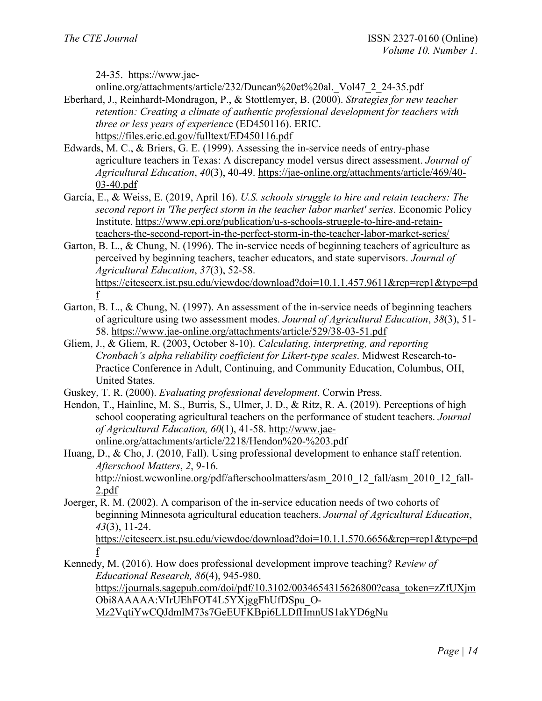24-35. https://www.jae-

online.org/attachments/article/232/Duncan%20et%20al.\_Vol47\_2\_24-35.pdf

- Eberhard, J., Reinhardt-Mondragon, P., & Stottlemyer, B. (2000). *Strategies for new teacher retention: Creating a climate of authentic professional development for teachers with three or less years of experienc*e (ED450116). ERIC. <https://files.eric.ed.gov/fulltext/ED450116.pdf>
- Edwards, M. C., & Briers, G. E. (1999). Assessing the in-service needs of entry-phase agriculture teachers in Texas: A discrepancy model versus direct assessment. *Journal of Agricultural Education*, *40*(3), 40-49. [https://jae-online.org/attachments/article/469/40-](https://jae-online.org/attachments/article/469/40-03-40.pdf) [03-40.pdf](https://jae-online.org/attachments/article/469/40-03-40.pdf)
- García, E., & Weiss, E. (2019, April 16). *U.S. schools struggle to hire and retain teachers: The second report in 'The perfect storm in the teacher labor market' series*. Economic Policy Institute. [https://www.epi.org/publication/u-s-schools-struggle-to-hire-and-retain](https://www.epi.org/publication/u-s-schools-struggle-to-hire-and-retain-teachers-the-second-report-in-the-perfect-storm-in-the-teacher-labor-market-series/)[teachers-the-second-report-in-the-perfect-storm-in-the-teacher-labor-market-series/](https://www.epi.org/publication/u-s-schools-struggle-to-hire-and-retain-teachers-the-second-report-in-the-perfect-storm-in-the-teacher-labor-market-series/)
- Garton, B. L., & Chung, N. (1996). The in-service needs of beginning teachers of agriculture as perceived by beginning teachers, teacher educators, and state supervisors. *Journal of Agricultural Education*, *37*(3), 52-58. [https://citeseerx.ist.psu.edu/viewdoc/download?doi=10.1.1.457.9611&rep=rep1&type=pd](https://citeseerx.ist.psu.edu/viewdoc/download?doi=10.1.1.457.9611&rep=rep1&type=pdf) [f](https://citeseerx.ist.psu.edu/viewdoc/download?doi=10.1.1.457.9611&rep=rep1&type=pdf)
- Garton, B. L., & Chung, N. (1997). An assessment of the in-service needs of beginning teachers of agriculture using two assessment modes. *Journal of Agricultural Education*, *38*(3), 51- 58.<https://www.jae-online.org/attachments/article/529/38-03-51.pdf>
- Gliem, J., & Gliem, R. (2003, October 8-10). *Calculating, interpreting, and reporting Cronbach's alpha reliability coefficient for Likert-type scales*. Midwest Research-to-Practice Conference in Adult, Continuing, and Community Education, Columbus, OH, United States.
- Guskey, T. R. (2000). *Evaluating professional development*. Corwin Press.
- Hendon, T., Hainline, M. S., Burris, S., Ulmer, J. D., & Ritz, R. A. (2019). Perceptions of high school cooperating agricultural teachers on the performance of student teachers. *Journal of Agricultural Education, 60*(1), 41-58. [http://www.jae](http://www.jae-online.org/attachments/article/2218/Hendon%20-%203.pdf)[online.org/attachments/article/2218/Hendon%20-%203.pdf](http://www.jae-online.org/attachments/article/2218/Hendon%20-%203.pdf)

Huang, D., & Cho, J. (2010, Fall). Using professional development to enhance staff retention. *Afterschool Matters*, *2*, 9-16. [http://niost.wcwonline.org/pdf/afterschoolmatters/asm\\_2010\\_12\\_fall/asm\\_2010\\_12\\_fall-](http://niost.wcwonline.org/pdf/afterschoolmatters/asm_2010_12_fall/asm_2010_12_fall-2.pdf)[2.pdf](http://niost.wcwonline.org/pdf/afterschoolmatters/asm_2010_12_fall/asm_2010_12_fall-2.pdf) 

Joerger, R. M. (2002). A comparison of the in-service education needs of two cohorts of beginning Minnesota agricultural education teachers. *Journal of Agricultural Education*, *43*(3), 11-24.

[https://citeseerx.ist.psu.edu/viewdoc/download?doi=10.1.1.570.6656&rep=rep1&type=pd](https://citeseerx.ist.psu.edu/viewdoc/download?doi=10.1.1.570.6656&rep=rep1&type=pdf) [f](https://citeseerx.ist.psu.edu/viewdoc/download?doi=10.1.1.570.6656&rep=rep1&type=pdf) 

Kennedy, M. (2016). How does professional development improve teaching? R*eview of Educational Research, 86*(4), 945-980.

[https://journals.sagepub.com/doi/pdf/10.3102/0034654315626800?casa\\_token=zZfUXjm](https://journals.sagepub.com/doi/pdf/10.3102/0034654315626800?casa_token=zZfUXjmObi8AAAAA:VIrUEhFOT4L5YXjggFhUfDSpu_O-Mz2VqtiYwCQJdmlM73s7GeEUFKBpi6LLDfHmnUS1akYD6gNu) [Obi8AAAAA:VIrUEhFOT4L5YXjggFhUfDSpu\\_O-](https://journals.sagepub.com/doi/pdf/10.3102/0034654315626800?casa_token=zZfUXjmObi8AAAAA:VIrUEhFOT4L5YXjggFhUfDSpu_O-Mz2VqtiYwCQJdmlM73s7GeEUFKBpi6LLDfHmnUS1akYD6gNu)

[Mz2VqtiYwCQJdmlM73s7GeEUFKBpi6LLDfHmnUS1akYD6gNu](https://journals.sagepub.com/doi/pdf/10.3102/0034654315626800?casa_token=zZfUXjmObi8AAAAA:VIrUEhFOT4L5YXjggFhUfDSpu_O-Mz2VqtiYwCQJdmlM73s7GeEUFKBpi6LLDfHmnUS1akYD6gNu)